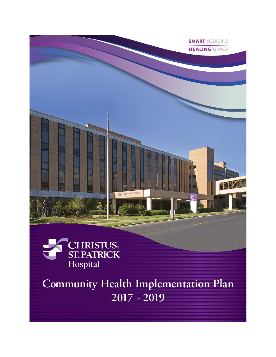



**Community Health Implementation Plan**  $2017 - 2019$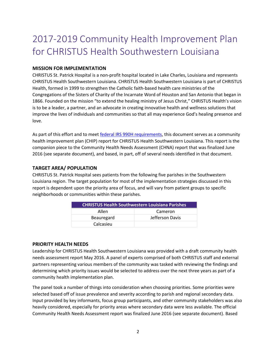# 2017-2019 Community Health Improvement Plan for CHRISTUS Health Southwestern Louisiana

#### **MISSION FOR IMPLEMENTATION**

CHRISTUS St. Patrick Hospital is a non-profit hospital located in Lake Charles, Louisiana and represents CHRISTUS Health Southwestern Louisiana. CHRISTUS Health Southwestern Louisiana is part of CHRISTUS Health, formed in 1999 to strengthen the Catholic faith-based health care ministries of the Congregations of the Sisters of Charity of the Incarnate Word of Houston and San Antonio that began in 1866. Founded on the mission "to extend the healing ministry of Jesus Christ," CHRISTUS Health's vision is to be a leader, a partner, and an advocate in creating innovative health and wellness solutions that improve the lives of individuals and communities so that all may experience God's healing presence and love.

As part of this effort and to meet [federal IRS 990H requirements,](https://www.irs.gov/uac/About-Schedule-H-Form-990) this document serves as a community health improvement plan (CHIP) report for CHRISTUS Health Southwestern Louisiana. This report is the companion piece to the Community Health Needs Assessment (CHNA) report that was finalized June 2016 (see separate document), and based, in part, off of several needs identified in that document.

#### **TARGET AREA/ POPULATION**

CHRISTUS St. Patrick Hospital sees patients from the following five parishes in the Southwestern Louisiana region. The target population for most of the implementation strategies discussed in this report is dependent upon the priority area of focus, and will vary from patient groups to specific neighborhoods or communities within these parishes.

| <b>CHRISTUS Health Southwestern Louisiana Parishes</b> |                 |
|--------------------------------------------------------|-----------------|
| Allen                                                  | Cameron         |
| Beauregard                                             | Jefferson Davis |
| Calcasieu                                              |                 |

#### **PRIORITY HEALTH NEEDS**

Leadership for CHRISTUS Health Southwestern Louisiana was provided with a draft community health needs assessment report May 2016. A panel of experts comprised of both CHRISTUS staff and external partners representing various members of the community was tasked with reviewing the findings and determining which priority issues would be selected to address over the next three years as part of a community health implementation plan.

The panel took a number of things into consideration when choosing priorities. Some priorities were selected based off of issue prevalence and severity according to parish and regional secondary data. Input provided by key informants, focus group participants, and other community stakeholders was also heavily considered, especially for priority areas where secondary data were less available. The official Community Health Needs Assessment report was finalized June 2016 (see separate document). Based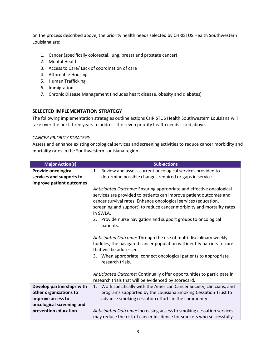on the process described above, the priority health needs selected by CHRISTUS Health Southwestern Louisiana are:

- 1. Cancer (specifically colorectal, lung, breast and prostate cancer)
- 2. Mental Health
- 3. Access to Care/ Lack of coordination of care
- 4. Affordable Housing
- 5. Human Trafficking
- 6. Immigration
- 7. Chronic Disease Management (includes heart disease, obesity and diabetes)

# **SELECTED IMPLEMENTATION STRATEGY**

The following implementation strategies outline actions CHRISTUS Health Southwestern Louisiana will take over the next three years to address the seven priority health needs listed above.

#### *CANCER PRIORITY STRATEGY*

Assess and enhance existing oncological services and screening activities to reduce cancer morbidity and mortality rates in the Southwestern Louisiana region.

| <b>Major Action(s)</b>                                                                                | <b>Sub-actions</b>                                                                                                                                                                                                                                                                                |
|-------------------------------------------------------------------------------------------------------|---------------------------------------------------------------------------------------------------------------------------------------------------------------------------------------------------------------------------------------------------------------------------------------------------|
| <b>Provide oncological</b><br>services and supports to<br>improve patient outcomes                    | Review and assess current oncological services provided to<br>1.<br>determine possible changes required or gaps in service.                                                                                                                                                                       |
|                                                                                                       | Anticipated Outcome: Ensuring appropriate and effective oncological<br>services are provided to patients can improve patient outcomes and<br>cancer survival rates. Enhance oncological services (education,<br>screening and support) to reduce cancer morbidity and mortality rates<br>in SWLA. |
|                                                                                                       | 2. Provide nurse navigation and support groups to oncological<br>patients.                                                                                                                                                                                                                        |
|                                                                                                       | Anticipated Outcome: Through the use of multi-disciplinary weekly<br>huddles, the navigated cancer population will identify barriers to care<br>that will be addressed.                                                                                                                           |
|                                                                                                       | 3. When appropriate, connect oncological patients to appropriate<br>research trials.                                                                                                                                                                                                              |
|                                                                                                       | Anticipated Outcome: Continually offer opportunities to participate in<br>research trials that will be evidenced by scorecard.                                                                                                                                                                    |
| Develop partnerships with<br>other organizations to<br>improve access to<br>oncological screening and | Work specifically with the American Cancer Society, clinicians, and<br>1.<br>programs supported by the Louisiana Smoking Cessation Trust to<br>advance smoking cessation efforts in the community.                                                                                                |
| prevention education                                                                                  | Anticipated Outcome: Increasing access to smoking cessation services<br>may reduce the risk of cancer incidence for smokers who successfully                                                                                                                                                      |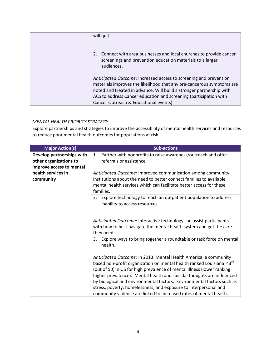| will quit.                                                                                                                                                                                                                                                                                                                        |
|-----------------------------------------------------------------------------------------------------------------------------------------------------------------------------------------------------------------------------------------------------------------------------------------------------------------------------------|
| 2. Connect with area businesses and local churches to provide cancer<br>screenings and prevention education materials to a larger<br>audiences.                                                                                                                                                                                   |
| Anticipated Outcome: Increased access to screening and prevention<br>materials improves the likelihood that any pre-cancerous symptoms are<br>noted and treated in advance. Will build a stronger partnership with<br>ACS to address Cancer education and screening (participation with<br>Cancer Outreach & Educational events). |

#### *MENTAL HEALTH PRIORITY STRATEGY*

Explore partnerships and strategies to improve the accessibility of mental health services and resources to reduce poor mental health outcomes for populations at risk.

| <b>Major Action(s)</b>    | <b>Sub-actions</b>                                                                                                                         |
|---------------------------|--------------------------------------------------------------------------------------------------------------------------------------------|
| Develop partnerships with | Partner with nonprofits to raise awareness/outreach and offer<br>1.                                                                        |
| other organizations to    | referrals or assistance.                                                                                                                   |
| improve access to mental  |                                                                                                                                            |
| health services in        | Anticipated Outcome: Improved communication among community                                                                                |
| community                 | institutions about the need to better connect families to available<br>mental health services which can facilitate better access for these |
|                           | families.                                                                                                                                  |
|                           | 2. Explore technology to reach an outpatient population to address                                                                         |
|                           | inability to access resources.                                                                                                             |
|                           |                                                                                                                                            |
|                           | Anticipated Outcome: Interactive technology can assist participants                                                                        |
|                           | with how to best navigate the mental health system and get the care<br>they need.                                                          |
|                           | Explore ways to bring together a roundtable or task force on mental<br>3.<br>health.                                                       |
|                           | Anticipated Outcome: In 2013, Mental Health America, a community                                                                           |
|                           | based non-profit organization on mental health ranked Louisiana 43rd                                                                       |
|                           | (out of 50) in US for high prevalence of mental illness (lower ranking =                                                                   |
|                           | higher prevalence). Mental health and suicidal thoughts are influenced                                                                     |
|                           | by biological and environmental factors. Environmental factors such as                                                                     |
|                           | stress, poverty, homelessness, and exposure to interpersonal and                                                                           |
|                           | community violence are linked to increased rates of mental health.                                                                         |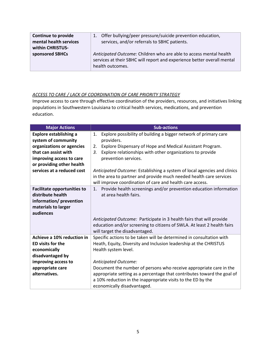| <b>Continue to provide</b><br>mental health services<br>within CHRISTUS- | 1. Offer bullying/peer pressure/suicide prevention education,<br>services, and/or referrals to SBHC patients.                                                     |
|--------------------------------------------------------------------------|-------------------------------------------------------------------------------------------------------------------------------------------------------------------|
| sponsored SBHCs                                                          | Anticipated Outcome: Children who are able to access mental health<br>services at their SBHC will report and experience better overall mental<br>health outcomes. |

# *ACCESS TO CARE / LACK OF COORDINATION OF CARE PRIORITY STRATEGY*

Improve access to care through effective coordination of the providers, resources, and initiatives linking populations in Southwestern Louisiana to critical health services, medications, and prevention education.

| <b>Major Actions</b>               | <b>Sub-actions</b>                                                       |
|------------------------------------|--------------------------------------------------------------------------|
| <b>Explore establishing a</b>      | Explore possibility of building a bigger network of primary care<br>1.   |
| system of community                | providers.                                                               |
| organizations or agencies          | Explore Dispensary of Hope and Medical Assistant Program.<br>2.          |
| that can assist with               | Explore relationships with other organizations to provide<br>3.          |
| improving access to care           | prevention services.                                                     |
| or providing other health          |                                                                          |
| services at a reduced cost         | Anticipated Outcome: Establishing a system of local agencies and clinics |
|                                    | in the area to partner and provide much needed health care services      |
|                                    | will improve coordination of care and health care access.                |
| <b>Facilitate opportunities to</b> | Provide health screenings and/or prevention education information<br>1.  |
| distribute health                  | at area health fairs.                                                    |
| information/ prevention            |                                                                          |
| materials to larger                |                                                                          |
| audiences                          |                                                                          |
|                                    | Anticipated Outcome: Participate in 3 health fairs that will provide     |
|                                    | education and/or screening to citizens of SWLA. At least 2 health fairs  |
|                                    | will target the disadvantaged.                                           |
| Achieve a 10% reduction in         | Specific actions to be taken will be determined in consultation with     |
| <b>ED visits for the</b>           | Heath, Equity, Diversity and Inclusion leadership at the CHRISTUS        |
| economically                       | Health system level.                                                     |
| disadvantaged by                   |                                                                          |
| improving access to                | Anticipated Outcome:                                                     |
| appropriate care                   | Document the number of persons who receive appropriate care in the       |
| alternatives.                      | appropriate setting as a percentage that contributes toward the goal of  |
|                                    | a 10% reduction in the inappropriate visits to the ED by the             |
|                                    | economically disadvantaged.                                              |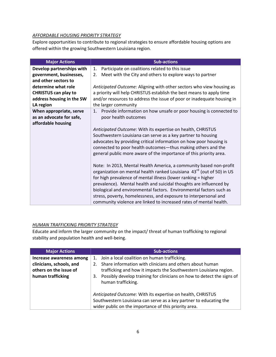# *AFFORDABLE HOUSING PRIORITY STRATEGY*

Explore opportunities to contribute to regional strategies to ensure affordable housing options are offered within the growing Southwestern Louisiana region.

| <b>Major Actions</b>        | <b>Sub-actions</b>                                                                |
|-----------------------------|-----------------------------------------------------------------------------------|
| Develop partnerships with   | Participate on coalitions related to this issue<br>1.                             |
| government, businesses,     | Meet with the City and others to explore ways to partner<br>2.                    |
| and other sectors to        |                                                                                   |
| determine what role         | Anticipated Outcome: Aligning with other sectors who view housing as              |
| <b>CHRISTUS can play to</b> | a priority will help CHRISTUS establish the best means to apply time              |
| address housing in the SW   | and/or resources to address the issue of poor or inadequate housing in            |
| LA region                   | the larger community                                                              |
| When appropriate, serve     | Provide information on how unsafe or poor housing is connected to<br>1.           |
| as an advocate for safe,    | poor health outcomes                                                              |
| affordable housing          |                                                                                   |
|                             | Anticipated Outcome: With its expertise on health, CHRISTUS                       |
|                             | Southwestern Louisiana can serve as a key partner to housing                      |
|                             | advocates by providing critical information on how poor housing is                |
|                             | connected to poor health outcomes-thus making others and the                      |
|                             | general public more aware of the importance of this priority area.                |
|                             | Note: In 2013, Mental Health America, a community based non-profit                |
|                             | organization on mental health ranked Louisiana 43 <sup>rd</sup> (out of 50) in US |
|                             | for high prevalence of mental illness (lower ranking = higher                     |
|                             | prevalence). Mental health and suicidal thoughts are influenced by                |
|                             | biological and environmental factors. Environmental factors such as               |
|                             | stress, poverty, homelessness, and exposure to interpersonal and                  |
|                             | community violence are linked to increased rates of mental health.                |

# *HUMAN TRAFFICKING PRIORITY STRATEGY*

Educate and inform the larger community on the impact/ threat of human trafficking to regional stability and population health and well-being.

| <b>Major Actions</b>     | <b>Sub-actions</b>                                                                                                                                                                         |
|--------------------------|--------------------------------------------------------------------------------------------------------------------------------------------------------------------------------------------|
| Increase awareness among | Join a local coalition on human trafficking.<br>1.                                                                                                                                         |
| clinicians, schools, and | Share information with clinicians and others about human                                                                                                                                   |
| others on the issue of   | trafficking and how it impacts the Southwestern Louisiana region.                                                                                                                          |
| human trafficking        | Possibly develop training for clinicians on how to detect the signs of<br>3.<br>human trafficking.                                                                                         |
|                          | Anticipated Outcome: With its expertise on health, CHRISTUS<br>Southwestern Louisiana can serve as a key partner to educating the<br>wider public on the importance of this priority area. |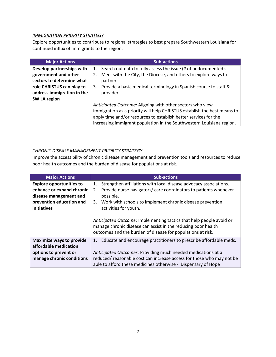#### *IMMIGRATION PRIORITY STRATEGY*

Explore opportunities to contribute to regional strategies to best prepare Southwestern Louisiana for continued influx of immigrants to the region.

| Major Actions              | <b>Sub-actions</b>                                                       |
|----------------------------|--------------------------------------------------------------------------|
| Develop partnerships with  | Search out data to fully assess the issue (# of undocumented).<br>1.     |
| government and other       | Meet with the City, the Diocese, and others to explore ways to           |
| sectors to determine what  | partner.                                                                 |
| role CHRISTUS can play to  | 3. Provide a basic medical terminology in Spanish course to staff &      |
| address immigration in the | providers.                                                               |
| SW LA region               |                                                                          |
|                            | Anticipated Outcome: Aligning with other sectors who view                |
|                            | immigration as a priority will help CHRISTUS establish the best means to |
|                            | apply time and/or resources to establish better services for the         |
|                            | increasing immigrant population in the Southwestern Louisiana region.    |

# *CHRONIC DISEASE MANAGEMENT PRIORITY STRATEGY*

Improve the accessibility of chronic disease management and prevention tools and resources to reduce poor health outcomes and the burden of disease for populations at risk.

| <b>Major Actions</b>            | <b>Sub-actions</b>                                                      |
|---------------------------------|-------------------------------------------------------------------------|
| <b>Explore opportunities to</b> | Strengthen affiliations with local disease advocacy associations.<br>1. |
| enhance or expand chronic       | Provide nurse navigators/ care coordinators to patients whenever<br>2.  |
| disease management and          | possible.                                                               |
| prevention education and        | Work with schools to implement chronic disease prevention<br>3.         |
| initiatives                     | activities for youth.                                                   |
|                                 |                                                                         |
|                                 | Anticipated Outcome: Implementing tactics that help people avoid or     |
|                                 | manage chronic disease can assist in the reducing poor health           |
|                                 | outcomes and the burden of disease for populations at risk.             |
| <b>Maximize ways to provide</b> | 1. Educate and encourage practitioners to prescribe affordable meds.    |
| affordable medication           |                                                                         |
| options to prevent or           | Anticipated Outcomes: Providing much needed medications at a            |
| manage chronic conditions       | reduced/reasonable cost can increase access for those who may not be    |
|                                 | able to afford these medicines otherwise - Dispensary of Hope           |